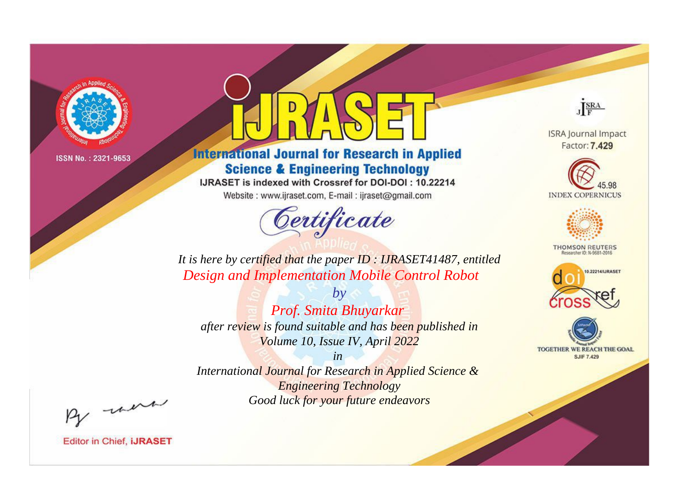

# **International Journal for Research in Applied Science & Engineering Technology**

IJRASET is indexed with Crossref for DOI-DOI: 10.22214

Website: www.ijraset.com, E-mail: ijraset@gmail.com



JERA

**ISRA Journal Impact** Factor: 7.429





**THOMSON REUTERS** 



TOGETHER WE REACH THE GOAL **SJIF 7.429** 

It is here by certified that the paper ID: IJRASET41487, entitled **Design and Implementation Mobile Control Robot** 

 $by$ Prof. Smita Bhuyarkar after review is found suitable and has been published in Volume 10, Issue IV, April 2022

 $in$ International Journal for Research in Applied Science & **Engineering Technology** Good luck for your future endeavors

By morn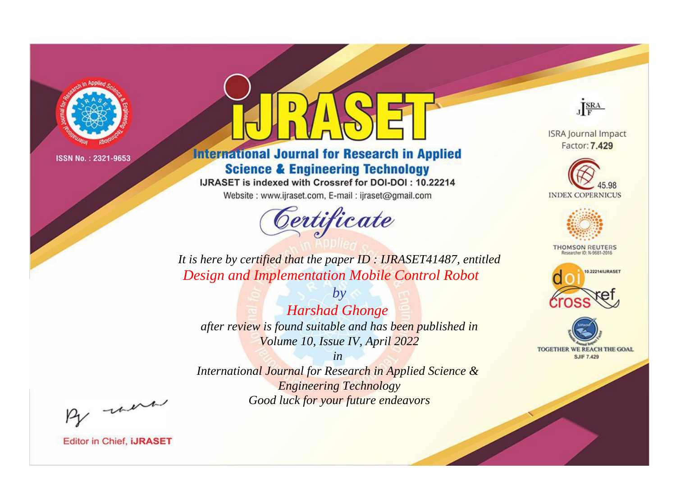

# **International Journal for Research in Applied Science & Engineering Technology**

IJRASET is indexed with Crossref for DOI-DOI: 10.22214

Website: www.ijraset.com, E-mail: ijraset@gmail.com



JERA

**ISRA Journal Impact** Factor: 7.429





**THOMSON REUTERS** 



TOGETHER WE REACH THE GOAL **SJIF 7.429** 

It is here by certified that the paper ID: IJRASET41487, entitled **Design and Implementation Mobile Control Robot** 

**Harshad Ghonge** after review is found suitable and has been published in Volume 10, Issue IV, April 2022

 $by$ 

 $in$ International Journal for Research in Applied Science & **Engineering Technology** Good luck for your future endeavors

By morn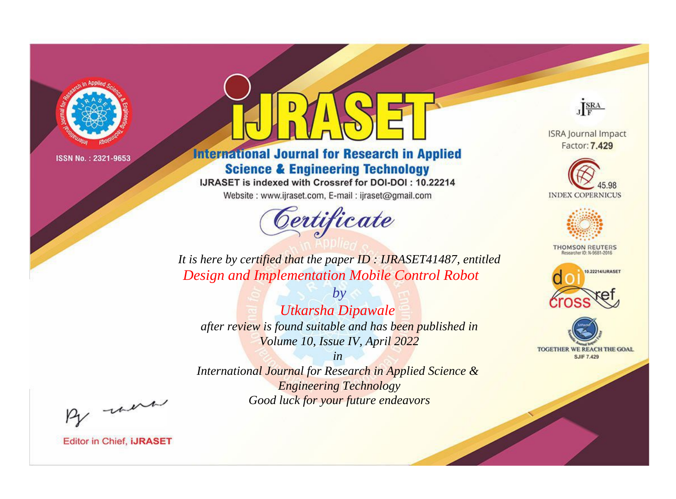

# **International Journal for Research in Applied Science & Engineering Technology**

IJRASET is indexed with Crossref for DOI-DOI: 10.22214

Website: www.ijraset.com, E-mail: ijraset@gmail.com



JERA

**ISRA Journal Impact** Factor: 7.429





**THOMSON REUTERS** 



TOGETHER WE REACH THE GOAL **SJIF 7.429** 

It is here by certified that the paper ID: IJRASET41487, entitled **Design and Implementation Mobile Control Robot** 

Utkarsha Dipawale after review is found suitable and has been published in Volume 10, Issue IV, April 2022

 $by$ 

 $in$ International Journal for Research in Applied Science & **Engineering Technology** Good luck for your future endeavors

By morn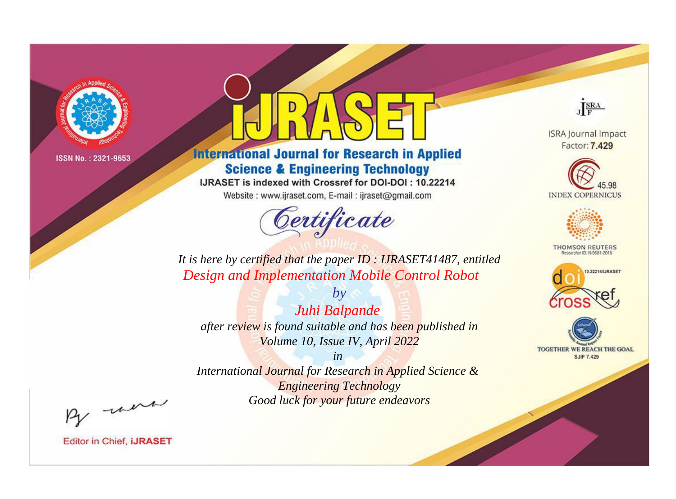

# **International Journal for Research in Applied Science & Engineering Technology**

IJRASET is indexed with Crossref for DOI-DOI: 10.22214

Website: www.ijraset.com, E-mail: ijraset@gmail.com



JERA

**ISRA Journal Impact** Factor: 7.429





**THOMSON REUTERS** 



TOGETHER WE REACH THE GOAL **SJIF 7.429** 

*It is here by certified that the paper ID : IJRASET41487, entitled Design and Implementation Mobile Control Robot*

*Juhi Balpande after review is found suitable and has been published in Volume 10, Issue IV, April 2022*

*by*

*in* 

*International Journal for Research in Applied Science & Engineering Technology Good luck for your future endeavors*

By morn